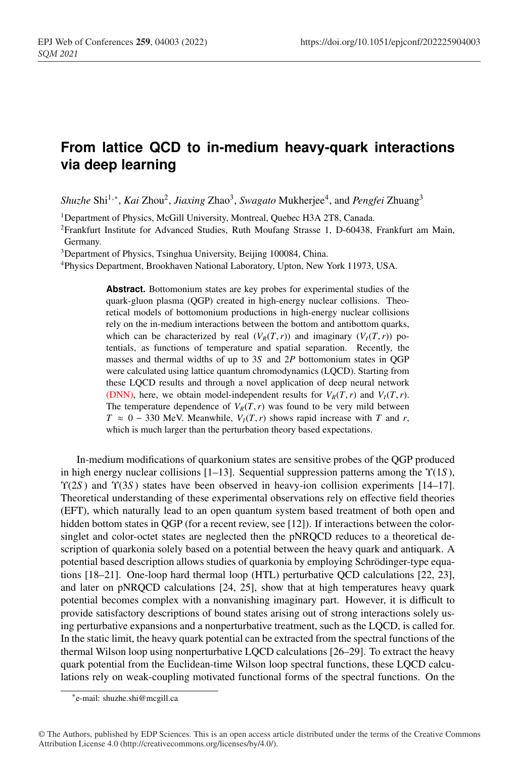## **From lattice QCD to in-medium heavy-quark interactions via deep learning**

*Shuzhe* Shi1,∗, *Kai* Zhou2, *Jiaxing* Zhao3, *Swagato* Mukherjee4, and *Pengfei* Zhuang3

<sup>1</sup>Department of Physics, McGill University, Montreal, Quebec H3A 2T8, Canada.

2Frankfurt Institute for Advanced Studies, Ruth Moufang Strasse 1, D-60438, Frankfurt am Main, Germany.

3Department of Physics, Tsinghua University, Beijing 100084, China.

4Physics Department, Brookhaven National Laboratory, Upton, New York 11973, USA.

**Abstract.** Bottomonium states are key probes for experimental studies of the quark-gluon plasma (QGP) created in high-energy nuclear collisions. Theoretical models of bottomonium productions in high-energy nuclear collisions rely on the in-medium interactions between the bottom and antibottom quarks, which can be characterized by real  $(V_R(T, r))$  and imaginary  $(V_I(T, r))$  potentials, as functions of temperature and spatial separation. Recently, the masses and thermal widths of up to 3*S* and 2*P* bottomonium states in QGP were calculated using lattice quantum chromodynamics (LQCD). Starting from these LQCD results and through a novel application of deep neural network (DNN), here, we obtain model-independent results for  $V_R(T, r)$  and  $V_I(T, r)$ . The temperature dependence of  $V_R(T, r)$  was found to be very mild between  $T \approx 0 - 330$  MeV. Meanwhile,  $V_I(T, r)$  shows rapid increase with *T* and *r*, which is much larger than the perturbation theory based expectations.

In-medium modifications of quarkonium states are sensitive probes of the QGP produced in high energy nuclear collisions [1–13]. Sequential suppression patterns among the Υ(1*S* ), Υ(2*S* ) and Υ(3*S* ) states have been observed in heavy-ion collision experiments [14–17]. Theoretical understanding of these experimental observations rely on effective field theories (EFT), which naturally lead to an open quantum system based treatment of both open and hidden bottom states in QGP (for a recent review, see [12]). If interactions between the colorsinglet and color-octet states are neglected then the pNRQCD reduces to a theoretical description of quarkonia solely based on a potential between the heavy quark and antiquark. A potential based description allows studies of quarkonia by employing Schrödinger-type equations [18–21]. One-loop hard thermal loop (HTL) perturbative QCD calculations [22, 23], and later on pNRQCD calculations [24, 25], show that at high temperatures heavy quark potential becomes complex with a nonvanishing imaginary part. However, it is difficult to provide satisfactory descriptions of bound states arising out of strong interactions solely using perturbative expansions and a nonperturbative treatment, such as the LQCD, is called for. In the static limit, the heavy quark potential can be extracted from the spectral functions of the thermal Wilson loop using nonperturbative LQCD calculations [26–29]. To extract the heavy quark potential from the Euclidean-time Wilson loop spectral functions, these LQCD calculations rely on weak-coupling motivated functional forms of the spectral functions. On the

<sup>∗</sup>e-mail: shuzhe.shi@mcgill.ca

<sup>©</sup> The Authors, published by EDP Sciences. This is an open access article distributed under the terms of the Creative Commons Attribution License 4.0 (http://creativecommons.org/licenses/by/4.0/).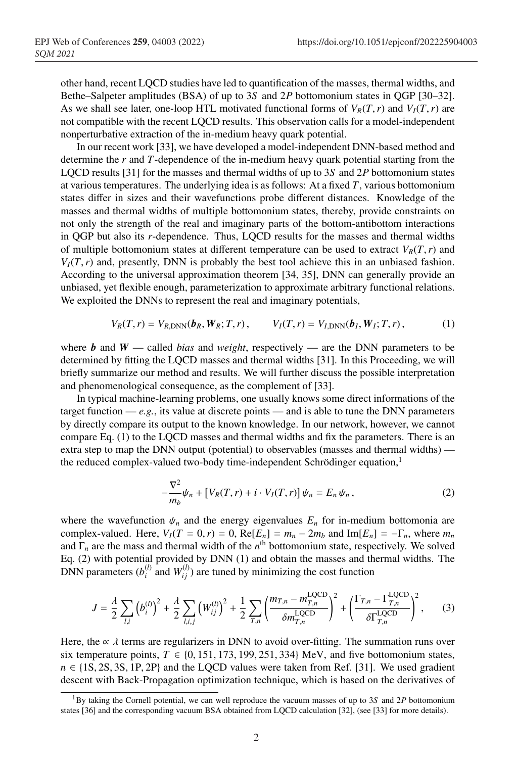other hand, recent LQCD studies have led to quantification of the masses, thermal widths, and Bethe–Salpeter amplitudes (BSA) of up to 3*S* and 2*P* bottomonium states in QGP [30–32]. As we shall see later, one-loop HTL motivated functional forms of  $V_R(T, r)$  and  $V_I(T, r)$  are not compatible with the recent LQCD results. This observation calls for a model-independent nonperturbative extraction of the in-medium heavy quark potential.

In our recent work [33], we have developed a model-independent DNN-based method and determine the *r* and *T*-dependence of the in-medium heavy quark potential starting from the LQCD results [31] for the masses and thermal widths of up to 3*S* and 2*P* bottomonium states at various temperatures. The underlying idea is as follows: At a fixed *T*, various bottomonium states differ in sizes and their wavefunctions probe different distances. Knowledge of the masses and thermal widths of multiple bottomonium states, thereby, provide constraints on not only the strength of the real and imaginary parts of the bottom-antibottom interactions in QGP but also its *r*-dependence. Thus, LQCD results for the masses and thermal widths of multiple bottomonium states at different temperature can be used to extract  $V_R(T, r)$  and  $V_I(T, r)$  and, presently, DNN is probably the best tool achieve this in an unbiased fashion. According to the universal approximation theorem [34, 35], DNN can generally provide an unbiased, yet flexible enough, parameterization to approximate arbitrary functional relations. We exploited the DNNs to represent the real and imaginary potentials,

$$
V_R(T,r) = V_{R,\text{DNN}}(\bm{b}_R, \bm{W}_R; T, r), \qquad V_I(T,r) = V_{I,\text{DNN}}(\bm{b}_I, \bm{W}_I; T, r), \tag{1}
$$

where **b** and  $W$  — called *bias* and *weight*, respectively — are the DNN parameters to be determined by fitting the LQCD masses and thermal widths [31]. In this Proceeding, we will briefly summarize our method and results. We will further discuss the possible interpretation and phenomenological consequence, as the complement of [33].

In typical machine-learning problems, one usually knows some direct informations of the target function —  $e.g.,$  its value at discrete points — and is able to tune the DNN parameters by directly compare its output to the known knowledge. In our network, however, we cannot compare Eq. (1) to the LQCD masses and thermal widths and fix the parameters. There is an extra step to map the DNN output (potential) to observables (masses and thermal widths) the reduced complex-valued two-body time-independent Schrödinger equation,<sup>1</sup>

$$
-\frac{\nabla^2}{m_b}\psi_n + \left[V_R(T,r) + i \cdot V_I(T,r)\right]\psi_n = E_n \psi_n, \qquad (2)
$$

where the wavefunction  $\psi_n$  and the energy eigenvalues  $E_n$  for in-medium bottomonia are complex-valued. Here,  $V_I(T = 0, r) = 0$ ,  $Re[E_n] = m_n - 2m_b$  and  $Im[E_n] = -\Gamma_n$ , where  $m_n$ and Γ*<sup>n</sup>* are the mass and thermal width of the *n*th bottomonium state, respectively. We solved Eq. (2) with potential provided by DNN (1) and obtain the masses and thermal widths. The DNN parameters  $(b_i^{(l)}$  and  $W_{ij}^{(l)}$  ) are tuned by minimizing the cost function

$$
J = \frac{\lambda}{2} \sum_{l,i} \left( b_i^{(l)} \right)^2 + \frac{\lambda}{2} \sum_{l,i,j} \left( W_{ij}^{(l)} \right)^2 + \frac{1}{2} \sum_{T,n} \left( \frac{m_{T,n} - m_{T,n}^{\text{LQCD}}}{\delta m_{T,n}^{\text{LQCD}}} \right)^2 + \left( \frac{\Gamma_{T,n} - \Gamma_{T,n}^{\text{LQCD}}}{\delta \Gamma_{T,n}^{\text{LQCD}}} \right)^2, \tag{3}
$$

Here, the  $\alpha \lambda$  terms are regularizers in DNN to avoid over-fitting. The summation runs over six temperature points,  $T \in \{0, 151, 173, 199, 251, 334\}$  MeV, and five bottomonium states,  $n \in \{1S, 2S, 3S, 1P, 2P\}$  and the LQCD values were taken from Ref. [31]. We used gradient descent with Back-Propagation optimization technique, which is based on the derivatives of

<sup>1</sup>By taking the Cornell potential, we can well reproduce the vacuum masses of up to 3*S* and 2*P* bottomonium states [36] and the corresponding vacuum BSA obtained from LQCD calculation [32], (see [33] for more details).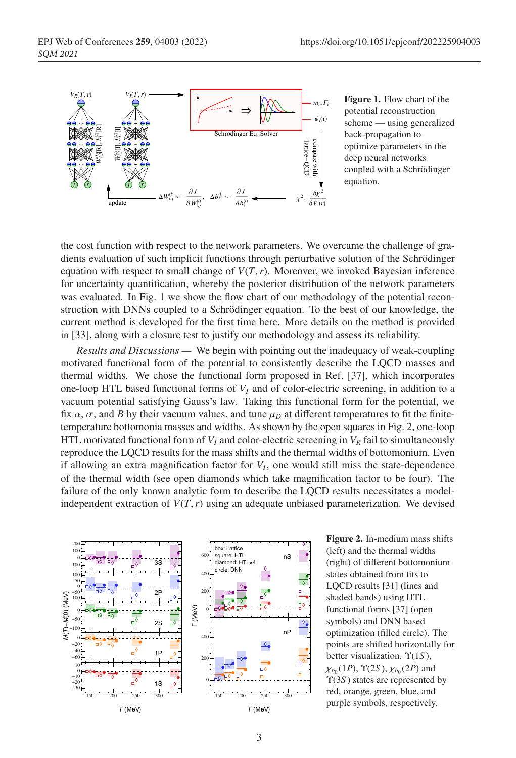

Figure 1. Flow chart of the potential reconstruction scheme — using generalized back-propagation to optimize parameters in the deep neural networks coupled with a Schrödinger equation.

the cost function with respect to the network parameters. We overcame the challenge of gradients evaluation of such implicit functions through perturbative solution of the Schrödinger equation with respect to small change of  $V(T, r)$ . Moreover, we invoked Bayesian inference for uncertainty quantification, whereby the posterior distribution of the network parameters was evaluated. In Fig. 1 we show the flow chart of our methodology of the potential reconstruction with DNNs coupled to a Schrödinger equation. To the best of our knowledge, the current method is developed for the first time here. More details on the method is provided in [33], along with a closure test to justify our methodology and assess its reliability.

*Results and Discussions —* We begin with pointing out the inadequacy of weak-coupling motivated functional form of the potential to consistently describe the LQCD masses and thermal widths. We chose the functional form proposed in Ref. [37], which incorporates one-loop HTL based functional forms of  $V_I$  and of color-electric screening, in addition to a vacuum potential satisfying Gauss's law. Taking this functional form for the potential, we fix  $\alpha$ ,  $\sigma$ , and *B* by their vacuum values, and tune  $\mu$ <sub>*D*</sub> at different temperatures to fit the finitetemperature bottomonia masses and widths. As shown by the open squares in Fig. 2, one-loop HTL motivated functional form of  $V_I$  and color-electric screening in  $V_R$  fail to simultaneously reproduce the LQCD results for the mass shifts and the thermal widths of bottomonium. Even if allowing an extra magnification factor for  $V_I$ , one would still miss the state-dependence of the thermal width (see open diamonds which take magnification factor to be four). The failure of the only known analytic form to describe the LQCD results necessitates a modelindependent extraction of  $V(T, r)$  using an adequate unbiased parameterization. We devised



Figure 2. In-medium mass shifts (left) and the thermal widths (right) of different bottomonium states obtained from fits to LQCD results [31] (lines and shaded bands) using HTL functional forms [37] (open symbols) and DNN based optimization (filled circle). The points are shifted horizontally for better visualization. Υ(1*S* ),  $\chi_{b_0}(1P)$ ,  $\Upsilon(2S)$ ,  $\chi_{b_0}(2P)$  and Υ(3*S* ) states are represented by red, orange, green, blue, and purple symbols, respectively.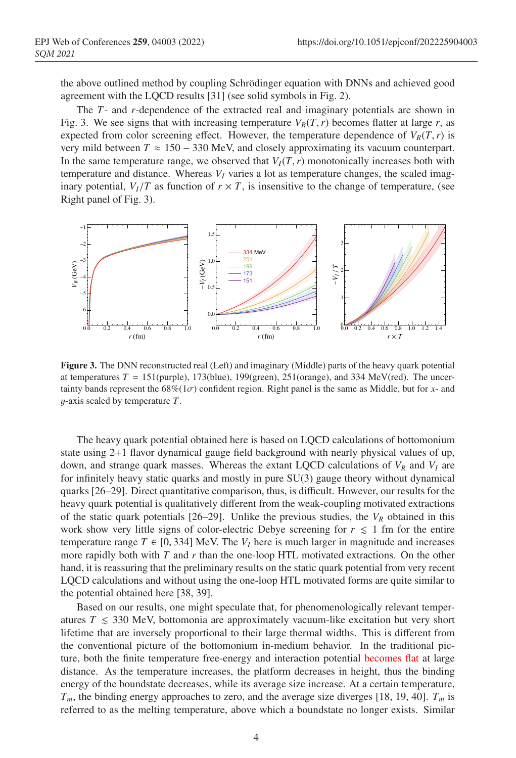the above outlined method by coupling Schrödinger equation with DNNs and achieved good agreement with the LQCD results [31] (see solid symbols in Fig. 2).

The *T*- and *r*-dependence of the extracted real and imaginary potentials are shown in Fig. 3. We see signs that with increasing temperature  $V_R(T, r)$  becomes flatter at large *r*, as expected from color screening effect. However, the temperature dependence of  $V_R(T, r)$  is very mild between  $T \approx 150 - 330$  MeV, and closely approximating its vacuum counterpart. In the same temperature range, we observed that  $V_I(T, r)$  monotonically increases both with temperature and distance. Whereas  $V_I$  varies a lot as temperature changes, the scaled imaginary potential,  $V_I/T$  as function of  $r \times T$ , is insensitive to the change of temperature, (see Right panel of Fig. 3).



Figure 3. The DNN reconstructed real (Left) and imaginary (Middle) parts of the heavy quark potential at temperatures  $T = 151$ (purple), 173(blue), 199(green), 251(orange), and 334 MeV(red). The uncertainty bands represent the  $68\%(1\sigma)$  confident region. Right panel is the same as Middle, but for *x*- and y-axis scaled by temperature *T*.

The heavy quark potential obtained here is based on LQCD calculations of bottomonium state using 2+1 flavor dynamical gauge field background with nearly physical values of up, down, and strange quark masses. Whereas the extant LQCD calculations of  $V_R$  and  $V_I$  are for infinitely heavy static quarks and mostly in pure SU(3) gauge theory without dynamical quarks [26–29]. Direct quantitative comparison, thus, is difficult. However, our results for the heavy quark potential is qualitatively different from the weak-coupling motivated extractions of the static quark potentials  $[26-29]$ . Unlike the previous studies, the  $V_R$  obtained in this work show very little signs of color-electric Debye screening for  $r \leq 1$  fm for the entire temperature range  $T \in [0, 334]$  MeV. The  $V_I$  here is much larger in magnitude and increases more rapidly both with *T* and *r* than the one-loop HTL motivated extractions. On the other hand, it is reassuring that the preliminary results on the static quark potential from very recent LQCD calculations and without using the one-loop HTL motivated forms are quite similar to the potential obtained here [38, 39].

Based on our results, one might speculate that, for phenomenologically relevant temperatures  $T \leq 330$  MeV, bottomonia are approximately vacuum-like excitation but very short lifetime that are inversely proportional to their large thermal widths. This is different from the conventional picture of the bottomonium in-medium behavior. In the traditional picture, both the finite temperature free-energy and interaction potential becomes flat at large distance. As the temperature increases, the platform decreases in height, thus the binding energy of the boundstate decreases, while its average size increase. At a certain temperature,  $T_m$ , the binding energy approaches to zero, and the average size diverges [18, 19, 40].  $T_m$  is referred to as the melting temperature, above which a boundstate no longer exists. Similar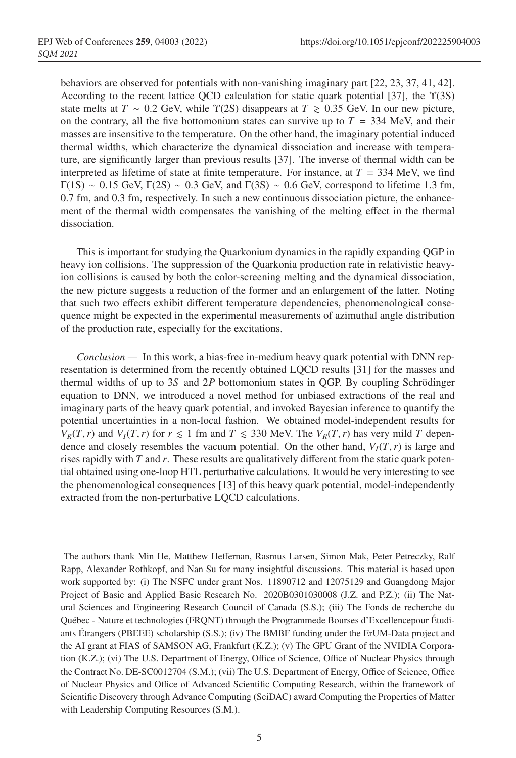behaviors are observed for potentials with non-vanishing imaginary part [22, 23, 37, 41, 42]. According to the recent lattice QCD calculation for static quark potential [37], the Υ(3S) state melts at  $T \sim 0.2$  GeV, while  $\Upsilon(2S)$  disappears at  $T \ge 0.35$  GeV. In our new picture, on the contrary, all the five bottomonium states can survive up to  $T = 334$  MeV, and their masses are insensitive to the temperature. On the other hand, the imaginary potential induced thermal widths, which characterize the dynamical dissociation and increase with temperature, are significantly larger than previous results [37]. The inverse of thermal width can be interpreted as lifetime of state at finite temperature. For instance, at  $T = 334$  MeV, we find Γ(1S) ∼ 0.15 GeV, Γ(2S) ∼ 0.3 GeV, and Γ(3S) ∼ 0.6 GeV, correspond to lifetime 1.3 fm, 0.7 fm, and 0.3 fm, respectively. In such a new continuous dissociation picture, the enhancement of the thermal width compensates the vanishing of the melting effect in the thermal dissociation.

This is important for studying the Quarkonium dynamics in the rapidly expanding QGP in heavy ion collisions. The suppression of the Quarkonia production rate in relativistic heavyion collisions is caused by both the color-screening melting and the dynamical dissociation, the new picture suggests a reduction of the former and an enlargement of the latter. Noting that such two effects exhibit different temperature dependencies, phenomenological consequence might be expected in the experimental measurements of azimuthal angle distribution of the production rate, especially for the excitations.

*Conclusion —* In this work, a bias-free in-medium heavy quark potential with DNN representation is determined from the recently obtained LQCD results [31] for the masses and thermal widths of up to 3*S* and 2*P* bottomonium states in QGP. By coupling Schrödinger equation to DNN, we introduced a novel method for unbiased extractions of the real and imaginary parts of the heavy quark potential, and invoked Bayesian inference to quantify the potential uncertainties in a non-local fashion. We obtained model-independent results for *V<sub>R</sub>*(*T*,*r*) and *V<sub>I</sub>*(*T*,*r*) for  $r \le 1$  fm and  $T \le 330$  MeV. The *V<sub>R</sub>*(*T*,*r*) has very mild *T* dependence and closely resembles the vacuum potential. On the other hand,  $V_I(T, r)$  is large and rises rapidly with *T* and *r*. These results are qualitatively different from the static quark potential obtained using one-loop HTL perturbative calculations. It would be very interesting to see the phenomenological consequences [13] of this heavy quark potential, model-independently extracted from the non-perturbative LQCD calculations.

The authors thank Min He, Matthew Heffernan, Rasmus Larsen, Simon Mak, Peter Petreczky, Ralf Rapp, Alexander Rothkopf, and Nan Su for many insightful discussions. This material is based upon work supported by: (i) The NSFC under grant Nos. 11890712 and 12075129 and Guangdong Major Project of Basic and Applied Basic Research No. 2020B0301030008 (J.Z. and P.Z.); (ii) The Natural Sciences and Engineering Research Council of Canada (S.S.); (iii) The Fonds de recherche du Québec - Nature et technologies (FRQNT) through the Programmede Bourses d'Excellencepour Étudiants Étrangers (PBEEE) scholarship (S.S.); (iv) The BMBF funding under the ErUM-Data project and the AI grant at FIAS of SAMSON AG, Frankfurt (K.Z.); (v) The GPU Grant of the NVIDIA Corporation (K.Z.); (vi) The U.S. Department of Energy, Office of Science, Office of Nuclear Physics through the Contract No. DE-SC0012704 (S.M.); (vii) The U.S. Department of Energy, Office of Science, Office of Nuclear Physics and Office of Advanced Scientific Computing Research, within the framework of Scientific Discovery through Advance Computing (SciDAC) award Computing the Properties of Matter with Leadership Computing Resources (S.M.).